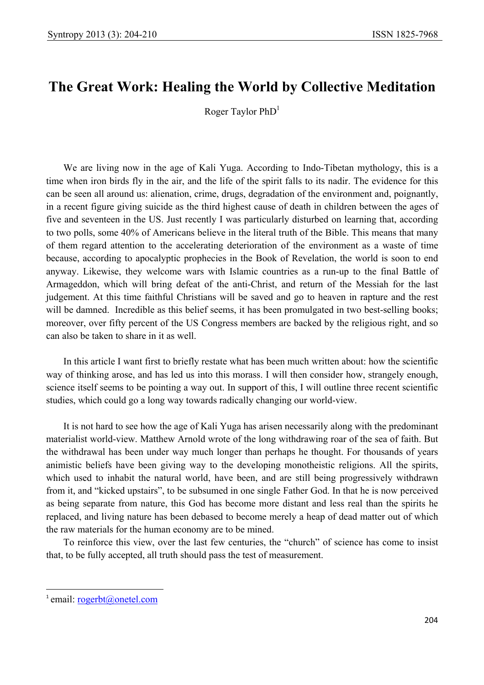## **The Great Work: Healing the World by Collective Meditation**

Roger Taylor PhD<sup>1</sup>

We are living now in the age of Kali Yuga. According to Indo-Tibetan mythology, this is a time when iron birds fly in the air, and the life of the spirit falls to its nadir. The evidence for this can be seen all around us: alienation, crime, drugs, degradation of the environment and, poignantly, in a recent figure giving suicide as the third highest cause of death in children between the ages of five and seventeen in the US. Just recently I was particularly disturbed on learning that, according to two polls, some 40% of Americans believe in the literal truth of the Bible. This means that many of them regard attention to the accelerating deterioration of the environment as a waste of time because, according to apocalyptic prophecies in the Book of Revelation, the world is soon to end anyway. Likewise, they welcome wars with Islamic countries as a run-up to the final Battle of Armageddon, which will bring defeat of the anti-Christ, and return of the Messiah for the last judgement. At this time faithful Christians will be saved and go to heaven in rapture and the rest will be damned. Incredible as this belief seems, it has been promulgated in two best-selling books; moreover, over fifty percent of the US Congress members are backed by the religious right, and so can also be taken to share in it as well.

In this article I want first to briefly restate what has been much written about: how the scientific way of thinking arose, and has led us into this morass. I will then consider how, strangely enough, science itself seems to be pointing a way out. In support of this, I will outline three recent scientific studies, which could go a long way towards radically changing our world-view.

It is not hard to see how the age of Kali Yuga has arisen necessarily along with the predominant materialist world-view. Matthew Arnold wrote of the long withdrawing roar of the sea of faith. But the withdrawal has been under way much longer than perhaps he thought. For thousands of years animistic beliefs have been giving way to the developing monotheistic religions. All the spirits, which used to inhabit the natural world, have been, and are still being progressively withdrawn from it, and "kicked upstairs", to be subsumed in one single Father God. In that he is now perceived as being separate from nature, this God has become more distant and less real than the spirits he replaced, and living nature has been debased to become merely a heap of dead matter out of which the raw materials for the human economy are to be mined.

To reinforce this view, over the last few centuries, the "church" of science has come to insist that, to be fully accepted, all truth should pass the test of measurement.

 $\overline{\phantom{a}}$ 

 $^1$  email: rogerbt@onetel.com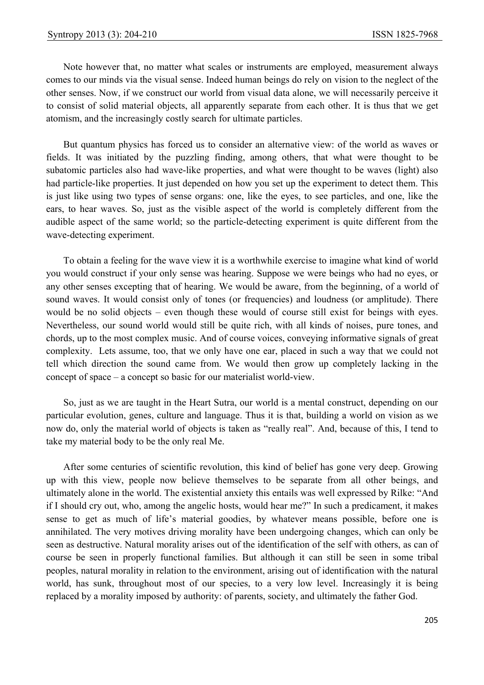Note however that, no matter what scales or instruments are employed, measurement always comes to our minds via the visual sense. Indeed human beings do rely on vision to the neglect of the other senses. Now, if we construct our world from visual data alone, we will necessarily perceive it to consist of solid material objects, all apparently separate from each other. It is thus that we get atomism, and the increasingly costly search for ultimate particles.

But quantum physics has forced us to consider an alternative view: of the world as waves or fields. It was initiated by the puzzling finding, among others, that what were thought to be subatomic particles also had wave-like properties, and what were thought to be waves (light) also had particle-like properties. It just depended on how you set up the experiment to detect them. This is just like using two types of sense organs: one, like the eyes, to see particles, and one, like the ears, to hear waves. So, just as the visible aspect of the world is completely different from the audible aspect of the same world; so the particle-detecting experiment is quite different from the wave-detecting experiment.

To obtain a feeling for the wave view it is a worthwhile exercise to imagine what kind of world you would construct if your only sense was hearing. Suppose we were beings who had no eyes, or any other senses excepting that of hearing. We would be aware, from the beginning, of a world of sound waves. It would consist only of tones (or frequencies) and loudness (or amplitude). There would be no solid objects – even though these would of course still exist for beings with eyes. Nevertheless, our sound world would still be quite rich, with all kinds of noises, pure tones, and chords, up to the most complex music. And of course voices, conveying informative signals of great complexity. Lets assume, too, that we only have one ear, placed in such a way that we could not tell which direction the sound came from. We would then grow up completely lacking in the concept of space – a concept so basic for our materialist world-view.

So, just as we are taught in the Heart Sutra, our world is a mental construct, depending on our particular evolution, genes, culture and language. Thus it is that, building a world on vision as we now do, only the material world of objects is taken as "really real". And, because of this, I tend to take my material body to be the only real Me.

After some centuries of scientific revolution, this kind of belief has gone very deep. Growing up with this view, people now believe themselves to be separate from all other beings, and ultimately alone in the world. The existential anxiety this entails was well expressed by Rilke: "And if I should cry out, who, among the angelic hosts, would hear me?" In such a predicament, it makes sense to get as much of life's material goodies, by whatever means possible, before one is annihilated. The very motives driving morality have been undergoing changes, which can only be seen as destructive. Natural morality arises out of the identification of the self with others, as can of course be seen in properly functional families. But although it can still be seen in some tribal peoples, natural morality in relation to the environment, arising out of identification with the natural world, has sunk, throughout most of our species, to a very low level. Increasingly it is being replaced by a morality imposed by authority: of parents, society, and ultimately the father God.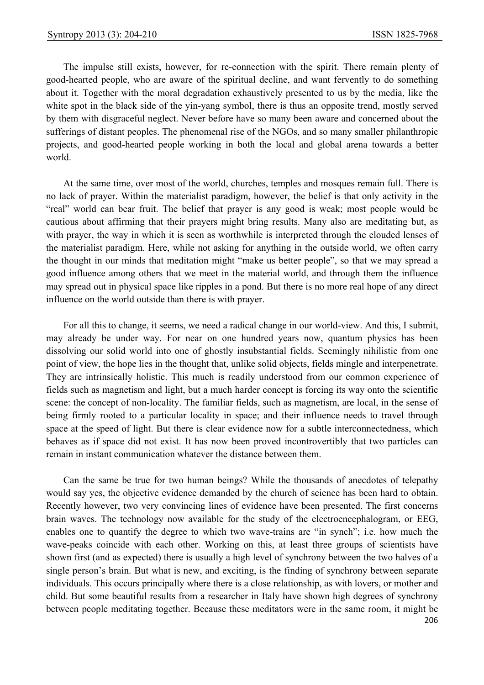The impulse still exists, however, for re-connection with the spirit. There remain plenty of good-hearted people, who are aware of the spiritual decline, and want fervently to do something about it. Together with the moral degradation exhaustively presented to us by the media, like the white spot in the black side of the yin-yang symbol, there is thus an opposite trend, mostly served by them with disgraceful neglect. Never before have so many been aware and concerned about the sufferings of distant peoples. The phenomenal rise of the NGOs, and so many smaller philanthropic projects, and good-hearted people working in both the local and global arena towards a better world.

At the same time, over most of the world, churches, temples and mosques remain full. There is no lack of prayer. Within the materialist paradigm, however, the belief is that only activity in the "real" world can bear fruit. The belief that prayer is any good is weak; most people would be cautious about affirming that their prayers might bring results. Many also are meditating but, as with prayer, the way in which it is seen as worthwhile is interpreted through the clouded lenses of the materialist paradigm. Here, while not asking for anything in the outside world, we often carry the thought in our minds that meditation might "make us better people", so that we may spread a good influence among others that we meet in the material world, and through them the influence may spread out in physical space like ripples in a pond. But there is no more real hope of any direct influence on the world outside than there is with prayer.

For all this to change, it seems, we need a radical change in our world-view. And this, I submit, may already be under way. For near on one hundred years now, quantum physics has been dissolving our solid world into one of ghostly insubstantial fields. Seemingly nihilistic from one point of view, the hope lies in the thought that, unlike solid objects, fields mingle and interpenetrate. They are intrinsically holistic. This much is readily understood from our common experience of fields such as magnetism and light, but a much harder concept is forcing its way onto the scientific scene: the concept of non-locality. The familiar fields, such as magnetism, are local, in the sense of being firmly rooted to a particular locality in space; and their influence needs to travel through space at the speed of light. But there is clear evidence now for a subtle interconnectedness, which behaves as if space did not exist. It has now been proved incontrovertibly that two particles can remain in instant communication whatever the distance between them.

Can the same be true for two human beings? While the thousands of anecdotes of telepathy would say yes, the objective evidence demanded by the church of science has been hard to obtain. Recently however, two very convincing lines of evidence have been presented. The first concerns brain waves. The technology now available for the study of the electroencephalogram, or EEG, enables one to quantify the degree to which two wave-trains are "in synch"; i.e. how much the wave-peaks coincide with each other. Working on this, at least three groups of scientists have shown first (and as expected) there is usually a high level of synchrony between the two halves of a single person's brain. But what is new, and exciting, is the finding of synchrony between separate individuals. This occurs principally where there is a close relationship, as with lovers, or mother and child. But some beautiful results from a researcher in Italy have shown high degrees of synchrony between people meditating together. Because these meditators were in the same room, it might be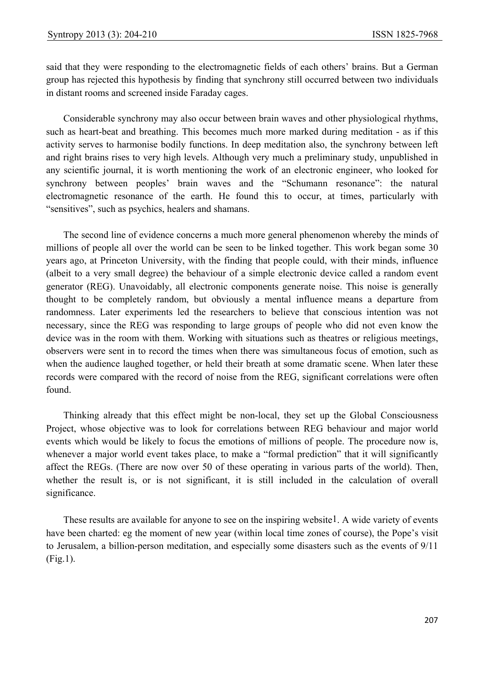said that they were responding to the electromagnetic fields of each others' brains. But a German group has rejected this hypothesis by finding that synchrony still occurred between two individuals in distant rooms and screened inside Faraday cages.

Considerable synchrony may also occur between brain waves and other physiological rhythms, such as heart-beat and breathing. This becomes much more marked during meditation - as if this activity serves to harmonise bodily functions. In deep meditation also, the synchrony between left and right brains rises to very high levels. Although very much a preliminary study, unpublished in any scientific journal, it is worth mentioning the work of an electronic engineer, who looked for synchrony between peoples' brain waves and the "Schumann resonance": the natural electromagnetic resonance of the earth. He found this to occur, at times, particularly with "sensitives", such as psychics, healers and shamans.

The second line of evidence concerns a much more general phenomenon whereby the minds of millions of people all over the world can be seen to be linked together. This work began some 30 years ago, at Princeton University, with the finding that people could, with their minds, influence (albeit to a very small degree) the behaviour of a simple electronic device called a random event generator (REG). Unavoidably, all electronic components generate noise. This noise is generally thought to be completely random, but obviously a mental influence means a departure from randomness. Later experiments led the researchers to believe that conscious intention was not necessary, since the REG was responding to large groups of people who did not even know the device was in the room with them. Working with situations such as theatres or religious meetings, observers were sent in to record the times when there was simultaneous focus of emotion, such as when the audience laughed together, or held their breath at some dramatic scene. When later these records were compared with the record of noise from the REG, significant correlations were often found.

Thinking already that this effect might be non-local, they set up the Global Consciousness Project, whose objective was to look for correlations between REG behaviour and major world events which would be likely to focus the emotions of millions of people. The procedure now is, whenever a major world event takes place, to make a "formal prediction" that it will significantly affect the REGs. (There are now over 50 of these operating in various parts of the world). Then, whether the result is, or is not significant, it is still included in the calculation of overall significance.

These results are available for anyone to see on the inspiring website<sup>1</sup>. A wide variety of events have been charted: eg the moment of new year (within local time zones of course), the Pope's visit to Jerusalem, a billion-person meditation, and especially some disasters such as the events of 9/11 (Fig.1).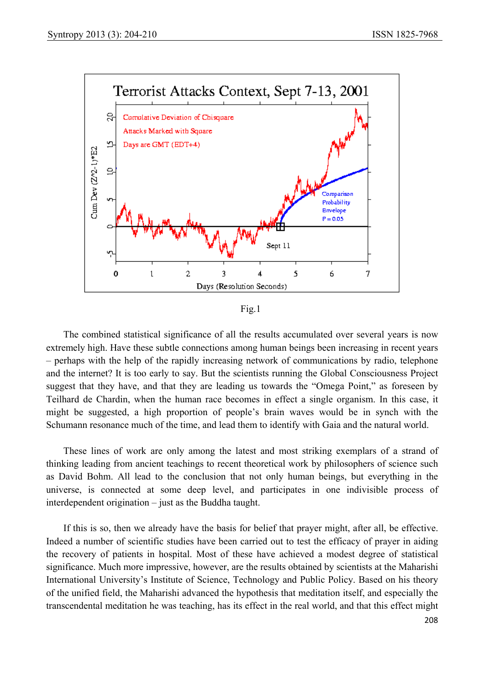

The combined statistical significance of all the results accumulated over several years is now extremely high. Have these subtle connections among human beings been increasing in recent years – perhaps with the help of the rapidly increasing network of communications by radio, telephone and the internet? It is too early to say. But the scientists running the Global Consciousness Project suggest that they have, and that they are leading us towards the "Omega Point," as foreseen by Teilhard de Chardin, when the human race becomes in effect a single organism. In this case, it might be suggested, a high proportion of people's brain waves would be in synch with the Schumann resonance much of the time, and lead them to identify with Gaia and the natural world.

These lines of work are only among the latest and most striking exemplars of a strand of thinking leading from ancient teachings to recent theoretical work by philosophers of science such as David Bohm. All lead to the conclusion that not only human beings, but everything in the universe, is connected at some deep level, and participates in one indivisible process of interdependent origination – just as the Buddha taught.

If this is so, then we already have the basis for belief that prayer might, after all, be effective. Indeed a number of scientific studies have been carried out to test the efficacy of prayer in aiding the recovery of patients in hospital. Most of these have achieved a modest degree of statistical significance. Much more impressive, however, are the results obtained by scientists at the Maharishi International University's Institute of Science, Technology and Public Policy. Based on his theory of the unified field, the Maharishi advanced the hypothesis that meditation itself, and especially the transcendental meditation he was teaching, has its effect in the real world, and that this effect might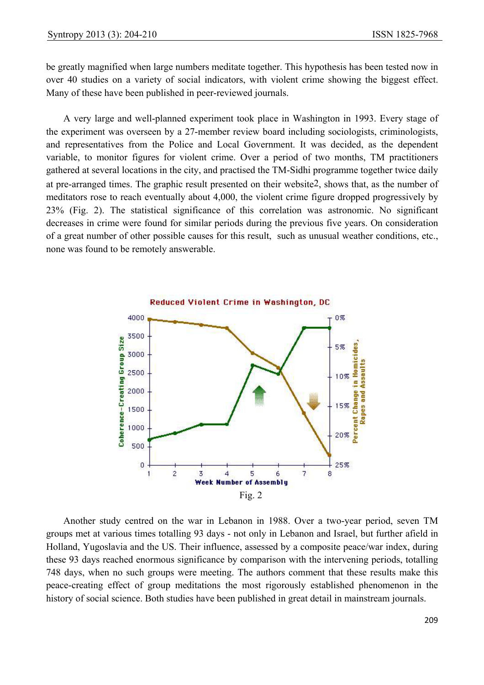be greatly magnified when large numbers meditate together. This hypothesis has been tested now in over 40 studies on a variety of social indicators, with violent crime showing the biggest effect. Many of these have been published in peer-reviewed journals.

A very large and well-planned experiment took place in Washington in 1993. Every stage of the experiment was overseen by a 27-member review board including sociologists, criminologists, and representatives from the Police and Local Government. It was decided, as the dependent variable, to monitor figures for violent crime. Over a period of two months, TM practitioners gathered at several locations in the city, and practised the TM-Sidhi programme together twice daily at pre-arranged times. The graphic result presented on their website2, shows that, as the number of meditators rose to reach eventually about 4,000, the violent crime figure dropped progressively by 23% (Fig. 2). The statistical significance of this correlation was astronomic. No significant decreases in crime were found for similar periods during the previous five years. On consideration of a great number of other possible causes for this result, such as unusual weather conditions, etc., none was found to be remotely answerable.



Another study centred on the war in Lebanon in 1988. Over a two-year period, seven TM groups met at various times totalling 93 days - not only in Lebanon and Israel, but further afield in Holland, Yugoslavia and the US. Their influence, assessed by a composite peace/war index, during these 93 days reached enormous significance by comparison with the intervening periods, totalling 748 days, when no such groups were meeting. The authors comment that these results make this peace-creating effect of group meditations the most rigorously established phenomenon in the history of social science. Both studies have been published in great detail in mainstream journals.